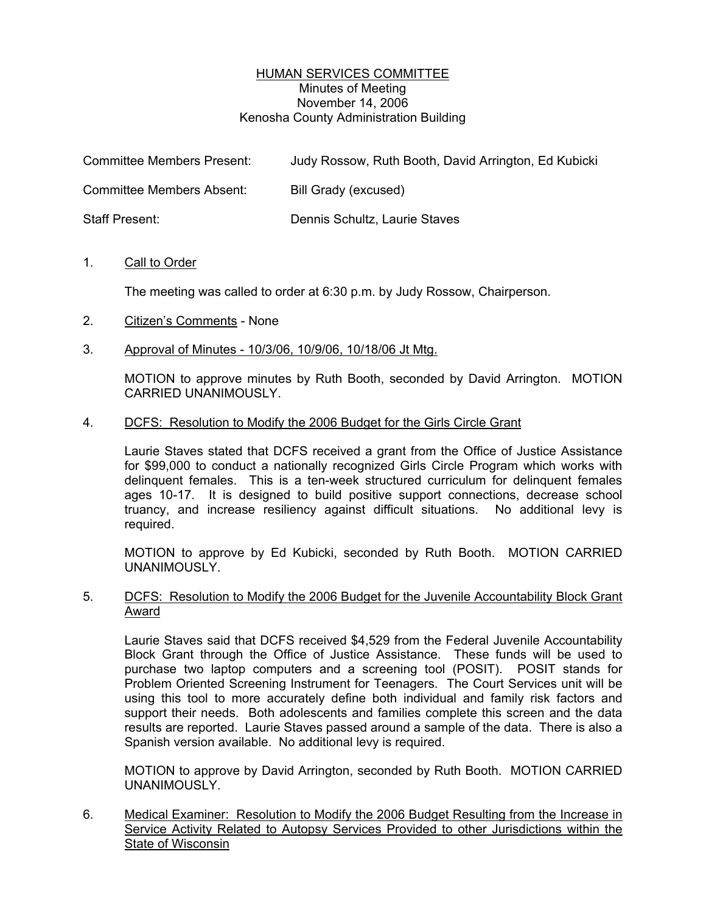## HUMAN SERVICES COMMITTEE Minutes of Meeting November 14, 2006 Kenosha County Administration Building

| <b>Committee Members Present:</b> | Judy Rossow, Ruth Booth, David Arrington, Ed Kubicki |
|-----------------------------------|------------------------------------------------------|
| <b>Committee Members Absent:</b>  | Bill Grady (excused)                                 |
| <b>Staff Present:</b>             | Dennis Schultz, Laurie Staves                        |

## 1. Call to Order

The meeting was called to order at 6:30 p.m. by Judy Rossow, Chairperson.

- 2. Citizen's Comments None
- 3. Approval of Minutes 10/3/06, 10/9/06, 10/18/06 Jt Mtg.

MOTION to approve minutes by Ruth Booth, seconded by David Arrington. MOTION CARRIED UNANIMOUSLY.

## 4. DCFS: Resolution to Modify the 2006 Budget for the Girls Circle Grant

Laurie Staves stated that DCFS received a grant from the Office of Justice Assistance for \$99,000 to conduct a nationally recognized Girls Circle Program which works with delinquent females. This is a ten-week structured curriculum for delinquent females ages 10-17. It is designed to build positive support connections, decrease school truancy, and increase resiliency against difficult situations. No additional levy is required.

MOTION to approve by Ed Kubicki, seconded by Ruth Booth. MOTION CARRIED UNANIMOUSLY.

5. DCFS: Resolution to Modify the 2006 Budget for the Juvenile Accountability Block Grant Award

Laurie Staves said that DCFS received \$4,529 from the Federal Juvenile Accountability Block Grant through the Office of Justice Assistance. These funds will be used to purchase two laptop computers and a screening tool (POSIT). POSIT stands for Problem Oriented Screening Instrument for Teenagers. The Court Services unit will be using this tool to more accurately define both individual and family risk factors and support their needs. Both adolescents and families complete this screen and the data results are reported. Laurie Staves passed around a sample of the data. There is also a Spanish version available. No additional levy is required.

MOTION to approve by David Arrington, seconded by Ruth Booth. MOTION CARRIED UNANIMOUSLY.

6. Medical Examiner: Resolution to Modify the 2006 Budget Resulting from the Increase in Service Activity Related to Autopsy Services Provided to other Jurisdictions within the State of Wisconsin